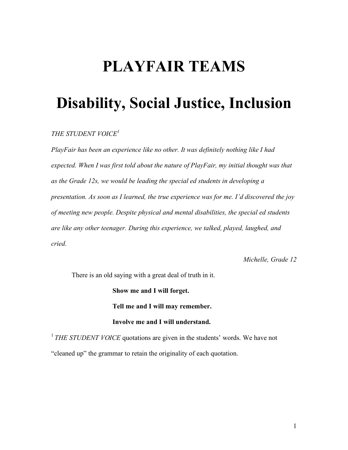# **PLAYFAIR TEAMS**

# **Disability, Social Justice, Inclusion**

# *THE STUDENT VOICE<sup>1</sup>*

*PlayFair has been an experience like no other. It was definitely nothing like I had expected. When I was first told about the nature of PlayFair, my initial thought was that as the Grade 12s, we would be leading the special ed students in developing a presentation. As soon as I learned, the true experience was for me. I'd discovered the joy of meeting new people. Despite physical and mental disabilities, the special ed students are like any other teenager. During this experience, we talked, played, laughed, and cried.*

*Michelle, Grade 12*

There is an old saying with a great deal of truth in it.

**Show me and I will forget. Tell me and I will may remember. Involve me and I will understand.**

<sup>1</sup> *THE STUDENT VOICE* quotations are given in the students' words. We have not "cleaned up" the grammar to retain the originality of each quotation.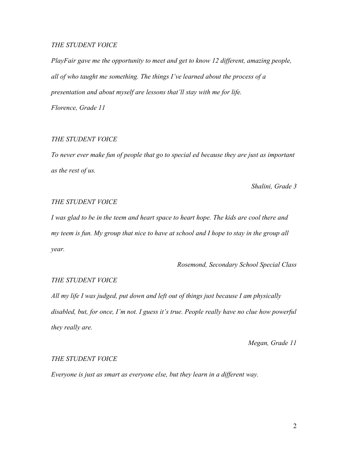# *THE STUDENT VOICE*

*PlayFair gave me the opportunity to meet and get to know 12 different, amazing people, all of who taught me something. The things I've learned about the process of a presentation and about myself are lessons that'll stay with me for life.*

*Florence, Grade 11*

# *THE STUDENT VOICE*

*To never ever make fun of people that go to special ed because they are just as important as the rest of us.*

*Shalini, Grade 3*

#### *THE STUDENT VOICE*

*I was glad to be in the teem and heart space to heart hope. The kids are cool there and my teem is fun. My group that nice to have at school and I hope to stay in the group all year.*

*Rosemond, Secondary School Special Class*

## *THE STUDENT VOICE*

*All my life I was judged, put down and left out of things just because I am physically disabled, but, for once, I'm not. I guess it's true. People really have no clue how powerful they really are.*

*Megan, Grade 11*

#### *THE STUDENT VOICE*

*Everyone is just as smart as everyone else, but they learn in a different way.*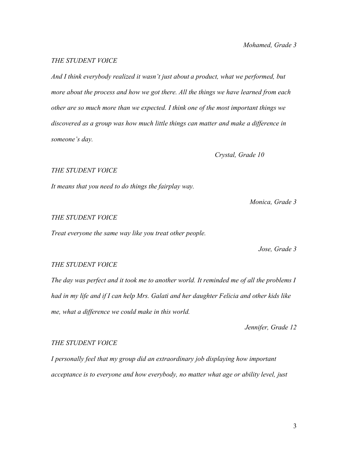# *Mohamed, Grade 3*

# *THE STUDENT VOICE*

*And I think everybody realized it wasn't just about a product, what we performed, but more about the process and how we got there. All the things we have learned from each other are so much more than we expected. I think one of the most important things we discovered as a group was how much little things can matter and make a difference in someone's day.*

# *Crystal, Grade 10*

### *THE STUDENT VOICE*

*It means that you need to do things the fairplay way.*

*Monica, Grade 3*

#### *THE STUDENT VOICE*

*Treat everyone the same way like you treat other people.*

*Jose, Grade 3*

# *THE STUDENT VOICE*

*The day was perfect and it took me to another world. It reminded me of all the problems I had in my life and if I can help Mrs. Galati and her daughter Felicia and other kids like me, what a difference we could make in this world.*

*Jennifer, Grade 12*

## *THE STUDENT VOICE*

*I personally feel that my group did an extraordinary job displaying how important acceptance is to everyone and how everybody, no matter what age or ability level, just*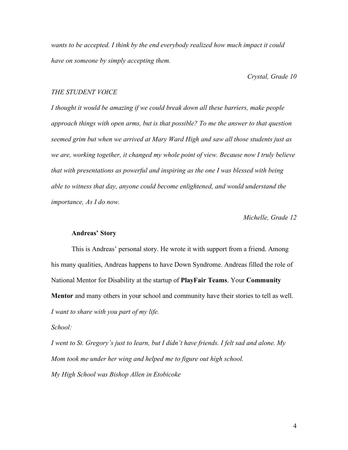*wants to be accepted. I think by the end everybody realized how much impact it could have on someone by simply accepting them.*

*Crystal, Grade 10*

#### *THE STUDENT VOICE*

*I thought it would be amazing if we could break down all these barriers, make people approach things with open arms, but is that possible? To me the answer to that question seemed grim but when we arrived at Mary Ward High and saw all those students just as we are, working together, it changed my whole point of view. Because now I truly believe that with presentations as powerful and inspiring as the one I was blessed with being able to witness that day, anyone could become enlightened, and would understand the importance, As I do now.*

*Michelle, Grade 12*

# **Andreas' Story**

This is Andreas' personal story. He wrote it with support from a friend. Among his many qualities, Andreas happens to have Down Syndrome. Andreas filled the role of National Mentor for Disability at the startup of **PlayFair Teams**. Your **Community Mentor** and many others in your school and community have their stories to tell as well. *I want to share with you part of my life.*

*School:*

*I went to St. Gregory's just to learn, but I didn't have friends. I felt sad and alone. My Mom took me under her wing and helped me to figure out high school. My High School was Bishop Allen in Etobicoke*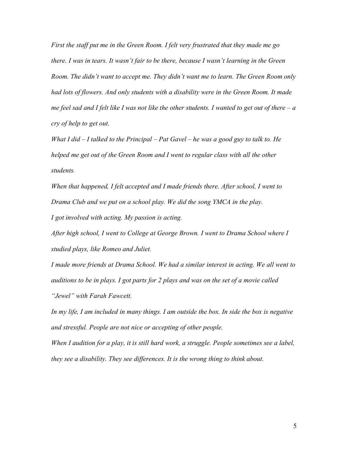*First the staff put me in the Green Room. I felt very frustrated that they made me go there. I was in tears. It wasn't fair to be there, because I wasn't learning in the Green Room. The didn't want to accept me. They didn't want me to learn. The Green Room only had lots of flowers. And only students with a disability were in the Green Room. It made* me feel sad and I felt like I was not like the other students. I wanted to get out of there  $-a$ *cry of help to get out.*

*What I did – I talked to the Principal – Pat Gavel – he was a good guy to talk to. He helped me get out of the Green Room and I went to regular class with all the other students.*

*When that happened, I felt accepted and I made friends there. After school, I went to Drama Club and we put on a school play. We did the song YMCA in the play.*

*I got involved with acting. My passion is acting.*

*After high school, I went to College at George Brown. I went to Drama School where I studied plays, like Romeo and Juliet.*

*I made more friends at Drama School. We had a similar interest in acting. We all went to auditions to be in plays. I got parts for 2 plays and was on the set of a movie called "Jewel" with Farah Fawcett.*

*In my life, I am included in many things. I am outside the box. In side the box is negative and stressful. People are not nice or accepting of other people.*

*When I audition for a play, it is still hard work, a struggle. People sometimes see a label, they see a disability. They see differences. It is the wrong thing to think about.*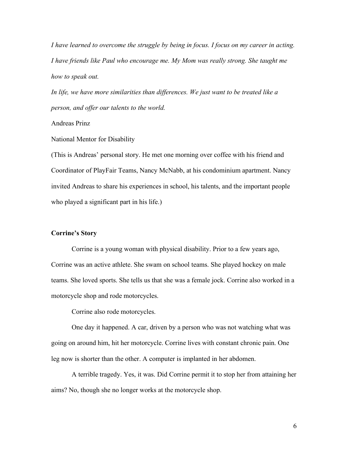*I have learned to overcome the struggle by being in focus. I focus on my career in acting. I have friends like Paul who encourage me. My Mom was really strong. She taught me how to speak out.*

*In life, we have more similarities than differences. We just want to be treated like a person, and offer our talents to the world.*

Andreas Prinz

National Mentor for Disability

(This is Andreas' personal story. He met one morning over coffee with his friend and Coordinator of PlayFair Teams, Nancy McNabb, at his condominium apartment. Nancy invited Andreas to share his experiences in school, his talents, and the important people who played a significant part in his life.)

# **Corrine's Story**

Corrine is a young woman with physical disability. Prior to a few years ago, Corrine was an active athlete. She swam on school teams. She played hockey on male teams. She loved sports. She tells us that she was a female jock. Corrine also worked in a motorcycle shop and rode motorcycles.

Corrine also rode motorcycles.

One day it happened. A car, driven by a person who was not watching what was going on around him, hit her motorcycle. Corrine lives with constant chronic pain. One leg now is shorter than the other. A computer is implanted in her abdomen.

A terrible tragedy. Yes, it was. Did Corrine permit it to stop her from attaining her aims? No, though she no longer works at the motorcycle shop.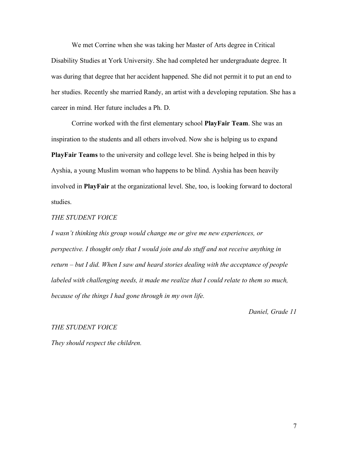We met Corrine when she was taking her Master of Arts degree in Critical Disability Studies at York University. She had completed her undergraduate degree. It was during that degree that her accident happened. She did not permit it to put an end to her studies. Recently she married Randy, an artist with a developing reputation. She has a career in mind. Her future includes a Ph. D.

Corrine worked with the first elementary school **PlayFair Team**. She was an inspiration to the students and all others involved. Now she is helping us to expand **PlayFair Teams** to the university and college level. She is being helped in this by Ayshia, a young Muslim woman who happens to be blind. Ayshia has been heavily involved in **PlayFair** at the organizational level. She, too, is looking forward to doctoral studies.

# *THE STUDENT VOICE*

*I wasn't thinking this group would change me or give me new experiences, or perspective. I thought only that I would join and do stuff and not receive anything in return – but I did. When I saw and heard stories dealing with the acceptance of people labeled with challenging needs, it made me realize that I could relate to them so much, because of the things I had gone through in my own life.*

*Daniel, Grade 11*

#### *THE STUDENT VOICE*

*They should respect the children.*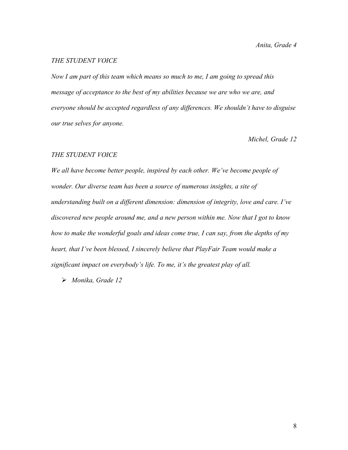# *THE STUDENT VOICE*

*Now I am part of this team which means so much to me, I am going to spread this message of acceptance to the best of my abilities because we are who we are, and everyone should be accepted regardless of any differences. We shouldn't have to disguise our true selves for anyone.*

*Michel, Grade 12*

#### *THE STUDENT VOICE*

*We all have become better people, inspired by each other. We've become people of wonder. Our diverse team has been a source of numerous insights, a site of understanding built on a different dimension: dimension of integrity, love and care. I've discovered new people around me, and a new person within me. Now that I got to know how to make the wonderful goals and ideas come true, I can say, from the depths of my heart, that I've been blessed, I sincerely believe that PlayFair Team would make a significant impact on everybody's life. To me, it's the greatest play of all.*

*Monika, Grade 12*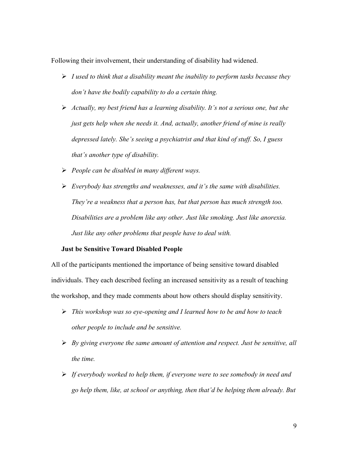Following their involvement, their understanding of disability had widened.

- *I used to think that a disability meant the inability to perform tasks because they don't have the bodily capability to do a certain thing.*
- *Actually, my best friend has a learning disability. It's not a serious one, but she just gets help when she needs it. And, actually, another friend of mine is really depressed lately. She's seeing a psychiatrist and that kind of stuff. So, I guess that's another type of disability.*
- *People can be disabled in many different ways.*
- *Everybody has strengths and weaknesses, and it's the same with disabilities. They're a weakness that a person has, but that person has much strength too. Disabilities are a problem like any other. Just like smoking. Just like anorexia. Just like any other problems that people have to deal with.*

#### **Just be Sensitive Toward Disabled People**

All of the participants mentioned the importance of being sensitive toward disabled individuals. They each described feeling an increased sensitivity as a result of teaching the workshop, and they made comments about how others should display sensitivity.

- *This workshop was so eye-opening and I learned how to be and how to teach other people to include and be sensitive.*
- *By giving everyone the same amount of attention and respect. Just be sensitive, all the time.*
- *If everybody worked to help them, if everyone were to see somebody in need and go help them, like, at school or anything, then that'd be helping them already. But*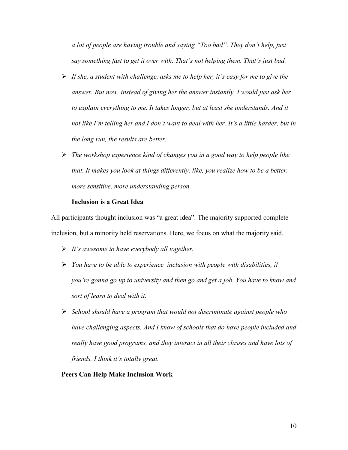*a lot of people are having trouble and saying "Too bad". They don't help, just say something fast to get it over with. That's not helping them. That's just bad.*

- *If she, a student with challenge, asks me to help her, it's easy for me to give the answer. But now, instead of giving her the answer instantly, I would just ask her to explain everything to me. It takes longer, but at least she understands. And it not like I'm telling her and I don't want to deal with her. It's a little harder, but in the long run, the results are better.*
- *The workshop experience kind of changes you in a good way to help people like that. It makes you look at things differently, like, you realize how to be a better, more sensitive, more understanding person.*

# **Inclusion is a Great Idea**

All participants thought inclusion was "a great idea". The majority supported complete inclusion, but a minority held reservations. Here, we focus on what the majority said.

- *It's awesome to have everybody all together.*
- *You have to be able to experience inclusion with people with disabilities, if you're gonna go up to university and then go and get a job. You have to know and sort of learn to deal with it.*
- *School should have a program that would not discriminate against people who have challenging aspects. And I know of schools that do have people included and really have good programs, and they interact in all their classes and have lots of friends. I think it's totally great.*

#### **Peers Can Help Make Inclusion Work**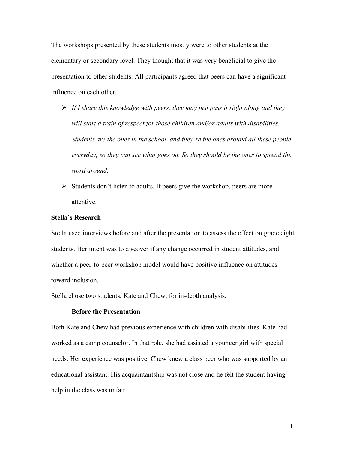The workshops presented by these students mostly were to other students at the elementary or secondary level. They thought that it was very beneficial to give the presentation to other students. All participants agreed that peers can have a significant influence on each other.

- *If I share this knowledge with peers, they may just pass it right along and they will start a train of respect for those children and/or adults with disabilities. Students are the ones in the school, and they're the ones around all these people everyday, so they can see what goes on. So they should be the ones to spread the word around.*
- $\triangleright$  Students don't listen to adults. If peers give the workshop, peers are more attentive.

# **Stella's Research**

Stella used interviews before and after the presentation to assess the effect on grade eight students. Her intent was to discover if any change occurred in student attitudes, and whether a peer-to-peer workshop model would have positive influence on attitudes toward inclusion.

Stella chose two students, Kate and Chew, for in-depth analysis.

# **Before the Presentation**

Both Kate and Chew had previous experience with children with disabilities. Kate had worked as a camp counselor. In that role, she had assisted a younger girl with special needs. Her experience was positive. Chew knew a class peer who was supported by an educational assistant. His acquaintantship was not close and he felt the student having help in the class was unfair.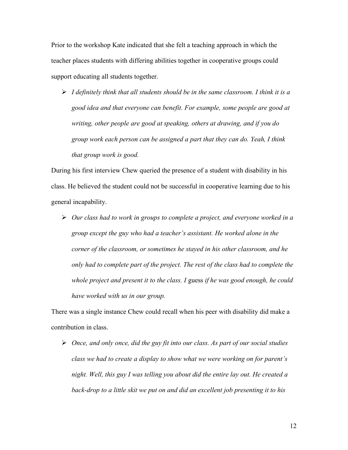Prior to the workshop Kate indicated that she felt a teaching approach in which the teacher places students with differing abilities together in cooperative groups could support educating all students together.

 *I definitely think that all students should be in the same classroom. I think it is a good idea and that everyone can benefit. For example, some people are good at writing, other people are good at speaking, others at drawing, and if you do group work each person can be assigned a part that they can do. Yeah, I think that group work is good.*

During his first interview Chew queried the presence of a student with disability in his class. He believed the student could not be successful in cooperative learning due to his general incapability.

 *Our class had to work in groups to complete a project, and everyone worked in a group except the guy who had a teacher's assistant. He worked alone in the corner of the classroom, or sometimes he stayed in his other classroom, and he only had to complete part of the project. The rest of the class had to complete the whole project and present it to the class. I* guess *if he was good enough, he could have worked with us in our group.*

There was a single instance Chew could recall when his peer with disability did make a contribution in class.

 *Once, and only once, did the guy fit into our class. As part of our social studies class we had to create a display to show what we were working on for parent's night. Well, this guy I was telling you about did the entire lay out. He created a back-drop to a little skit we put on and did an excellent job presenting it to his*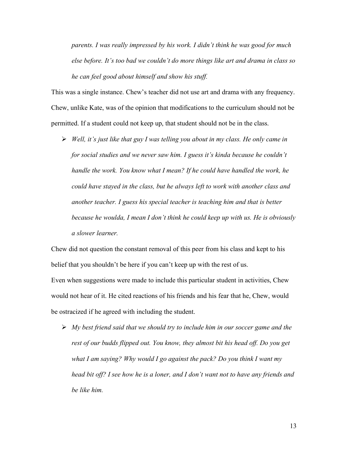*parents. I was really impressed by his work. I didn't think he was good for much else before. It's too bad we couldn't do more things like art and drama in class so he can feel good about himself and show his stuff.*

This was a single instance. Chew's teacher did not use art and drama with any frequency. Chew, unlike Kate, was of the opinion that modifications to the curriculum should not be permitted. If a student could not keep up, that student should not be in the class.

 *Well, it's just like that guy I was telling you about in my class. He only came in for social studies and we never saw him. I guess it's kinda because he couldn't handle the work. You know what I mean? If he could have handled the work, he could have stayed in the class, but he always left to work with another class and another teacher. I guess his special teacher is teaching him and that is better because he woulda, I mean I don't think he could keep up with us. He is obviously a slower learner.*

Chew did not question the constant removal of this peer from his class and kept to his belief that you shouldn't be here if you can't keep up with the rest of us.

Even when suggestions were made to include this particular student in activities, Chew would not hear of it. He cited reactions of his friends and his fear that he, Chew, would be ostracized if he agreed with including the student.

 *My best friend said that we should try to include him in our soccer game and the rest of our budds flipped out. You know, they almost bit his head off. Do you get what I am saying? Why would I go against the pack? Do you think I want my head bit off? I see how he is a loner, and I don't want not to have any friends and be like him.*

13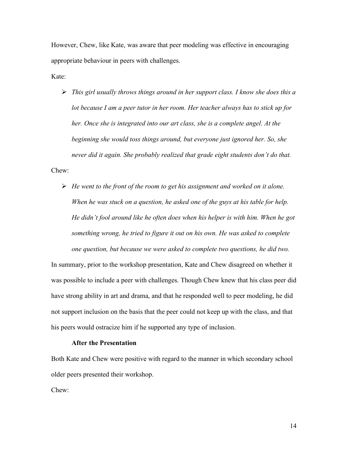However, Chew, like Kate, was aware that peer modeling was effective in encouraging appropriate behaviour in peers with challenges.

Kate:

- *This girl usually throws things around in her support class. I know she does this a lot because I am a peer tutor in her room. Her teacher always has to stick up for her. Once she is integrated into our art class, she is a complete angel. At the beginning she would toss things around, but everyone just ignored her. So, she never did it again. She probably realized that grade eight students don't do that.* Chew:
	- *He went to the front of the room to get his assignment and worked on it alone. When he was stuck on a question, he asked one of the guys at his table for help. He didn't fool around like he often does when his helper is with him. When he got something wrong, he tried to figure it out on his own. He was asked to complete one question, but because we were asked to complete two questions, he did two.*

In summary, prior to the workshop presentation, Kate and Chew disagreed on whether it was possible to include a peer with challenges. Though Chew knew that his class peer did have strong ability in art and drama, and that he responded well to peer modeling, he did not support inclusion on the basis that the peer could not keep up with the class, and that his peers would ostracize him if he supported any type of inclusion.

## **After the Presentation**

Both Kate and Chew were positive with regard to the manner in which secondary school older peers presented their workshop.

Chew: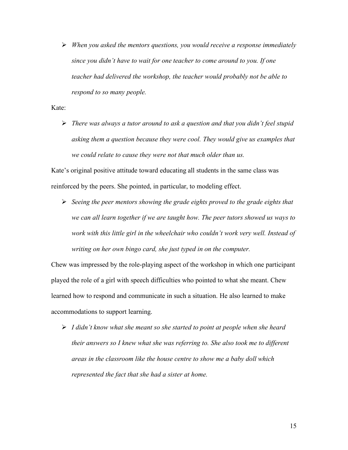*When you asked the mentors questions, you would receive a response immediately since you didn't have to wait for one teacher to come around to you. If one teacher had delivered the workshop, the teacher would probably not be able to respond to so many people.*

Kate:

 *There was always a tutor around to ask a question and that you didn't feel stupid asking them a question because they were cool. They would give us examples that we could relate to cause they were not that much older than us.*

Kate's original positive attitude toward educating all students in the same class was reinforced by the peers. She pointed, in particular, to modeling effect.

 *Seeing the peer mentors showing the grade eights proved to the grade eights that we can all learn together if we are taught how. The peer tutors showed us ways to work with this little girl in the wheelchair who couldn't work very well. Instead of writing on her own bingo card, she just typed in on the computer.*

Chew was impressed by the role-playing aspect of the workshop in which one participant played the role of a girl with speech difficulties who pointed to what she meant. Chew learned how to respond and communicate in such a situation. He also learned to make accommodations to support learning.

 *I didn't know what she meant so she started to point at people when she heard their answers so I knew what she was referring to. She also took me to different areas in the classroom like the house centre to show me a baby doll which represented the fact that she had a sister at home.*